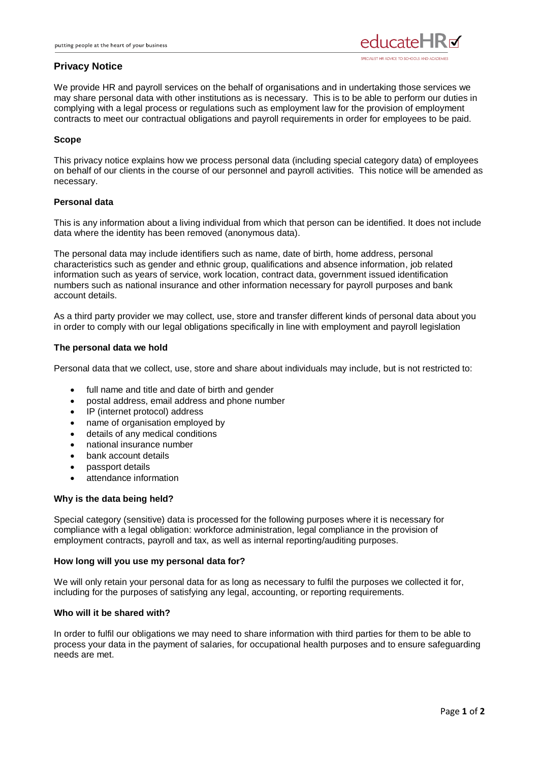

# **Privacy Notice**

We provide HR and payroll services on the behalf of organisations and in undertaking those services we may share personal data with other institutions as is necessary. This is to be able to perform our duties in complying with a legal process or regulations such as employment law for the provision of employment contracts to meet our contractual obligations and payroll requirements in order for employees to be paid.

# **Scope**

This privacy notice explains how we process personal data (including special category data) of employees on behalf of our clients in the course of our personnel and payroll activities. This notice will be amended as necessary.

# **Personal data**

This is any information about a living individual from which that person can be identified. It does not include data where the identity has been removed (anonymous data).

The personal data may include identifiers such as name, date of birth, home address, personal characteristics such as gender and ethnic group, qualifications and absence information, job related information such as years of service, work location, contract data, government issued identification numbers such as national insurance and other information necessary for payroll purposes and bank account details.

As a third party provider we may collect, use, store and transfer different kinds of personal data about you in order to comply with our legal obligations specifically in line with employment and payroll legislation

## **The personal data we hold**

Personal data that we collect, use, store and share about individuals may include, but is not restricted to:

- full name and title and date of birth and gender
- postal address, email address and phone number
- IP (internet protocol) address
- name of organisation employed by
- details of any medical conditions
- national insurance number
- bank account details
- passport details
- attendance information

# **Why is the data being held?**

Special category (sensitive) data is processed for the following purposes where it is necessary for compliance with a legal obligation: workforce administration, legal compliance in the provision of employment contracts, payroll and tax, as well as internal reporting/auditing purposes.

### **How long will you use my personal data for?**

We will only retain your personal data for as long as necessary to fulfil the purposes we collected it for, including for the purposes of satisfying any legal, accounting, or reporting requirements.

# **Who will it be shared with?**

In order to fulfil our obligations we may need to share information with third parties for them to be able to process your data in the payment of salaries, for occupational health purposes and to ensure safeguarding needs are met.